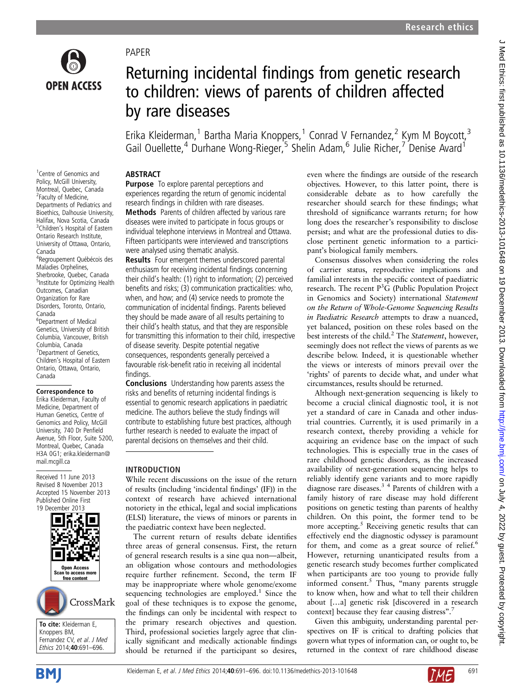# PAPER

# **OPEN ACCESS**

<sup>1</sup> Centre of Genomics and Policy, McGill University, Montreal, Quebec, Canada <sup>2</sup> Faculty of Medicine, Departments of Pediatrics and Bioethics, Dalhousie University, Halifax, Nova Scotia, Canada <sup>3</sup>Children's Hospital of Eastern Ontario Research Institute, University of Ottawa, Ontario,

4 Regroupement Québécois des Maladies Orphelines, Sherbrooke, Quebec, Canada 5 Institute for Optimizing Health Outcomes, Canadian Organization for Rare Disorders, Toronto, Ontario,

6 Department of Medical Genetics, University of British Columbia, Vancouver, British Columbia, Canada 7 Department of Genetics, Children's Hospital of Eastern Ontario, Ottawa, Ontario,

Correspondence to Erika Kleiderman, Faculty of Medicine, Department of Human Genetics, Centre of Genomics and Policy, McGill University, 740 Dr Penfield Avenue, 5th Floor, Suite 5200, Montreal, Quebec, Canada H3A 0G1; erika.kleiderman@

Canada

Canada

Canada

mail.mcgill.ca

Received 11 June 2013 Revised 8 November 2013 Accepted 15 November 2013 Published Online First 19 December 2013

# Returning incidental findings from genetic research to children: views of parents of children affected by rare diseases

Erika Kleiderman,<sup>1</sup> Bartha Maria Knoppers,<sup>1</sup> Conrad V Fernandez,<sup>2</sup> Kym M Boycott,<sup>3</sup> Gail Ouellette,<sup>4</sup> Durhane Wong-Rieger,<sup>5</sup> Shelin Adam,<sup>6</sup> Julie Richer,<sup>7</sup> Denise Avard<sup>1</sup>

# **ABSTRACT**

**Purpose** To explore parental perceptions and experiences regarding the return of genomic incidental research findings in children with rare diseases. Methods Parents of children affected by various rare diseases were invited to participate in focus groups or individual telephone interviews in Montreal and Ottawa. Fifteen participants were interviewed and transcriptions were analysed using thematic analysis.

Results Four emergent themes underscored parental enthusiasm for receiving incidental findings concerning their child's health: (1) right to information; (2) perceived benefits and risks; (3) communication practicalities: who, when, and how; and (4) service needs to promote the communication of incidental findings. Parents believed they should be made aware of all results pertaining to their child's health status, and that they are responsible for transmitting this information to their child, irrespective of disease severity. Despite potential negative consequences, respondents generally perceived a favourable risk-benefit ratio in receiving all incidental findings.

Conclusions Understanding how parents assess the risks and benefits of returning incidental findings is essential to genomic research applications in paediatric medicine. The authors believe the study findings will contribute to establishing future best practices, although further research is needed to evaluate the impact of parental decisions on themselves and their child.

# INTRODUCTION

While recent discussions on the issue of the return of results (including 'incidental findings' (IF)) in the context of research have achieved international notoriety in the ethical, legal and social implications (ELSI) literature, the views of minors or parents in the paediatric context have been neglected.

The current return of results debate identifies three areas of general consensus. First, the return of general research results is a sine qua non—albeit, an obligation whose contours and methodologies require further refinement. Second, the term IF may be inappropriate where whole genome/exome sequencing technologies are employed. $1$  Since the goal of these techniques is to expose the genome, the findings can only be incidental with respect to the primary research objectives and question. Third, professional societies largely agree that clinically significant and medically actionable findings should be returned if the participant so desires,

even where the findings are outside of the research objectives. However, to this latter point, there is considerable debate as to how carefully the researcher should search for these findings; what threshold of significance warrants return; for how long does the researcher's responsibility to disclose persist; and what are the professional duties to disclose pertinent genetic information to a participant's biological family members.

Consensus dissolves when considering the roles of carrier status, reproductive implications and familial interests in the specific context of paediatric research. The recent  $P^3G$  (Public Population Project in Genomics and Society) international Statement on the Return of Whole-Genome Sequencing Results in Paediatric Research attempts to draw a nuanced, yet balanced, position on these roles based on the best interests of the child.<sup>2</sup> The *Statement*, however, seemingly does not reflect the views of parents as we describe below. Indeed, it is questionable whether the views or interests of minors prevail over the 'rights' of parents to decide what, and under what circumstances, results should be returned.

Although next-generation sequencing is likely to become a crucial clinical diagnostic tool, it is not yet a standard of care in Canada and other industrial countries. Currently, it is used primarily in a research context, thereby providing a vehicle for acquiring an evidence base on the impact of such technologies. This is especially true in the cases of rare childhood genetic disorders, as the increased availability of next-generation sequencing helps to reliably identify gene variants and to more rapidly diagnose rare diseases.3 4 Parents of children with a family history of rare disease may hold different positions on genetic testing than parents of healthy children. On this point, the former tend to be more accepting.<sup>5</sup> Receiving genetic results that can effectively end the diagnostic odyssey is paramount for them, and come as a great source of relief.<sup>6</sup> However, returning unanticipated results from a genetic research study becomes further complicated when participants are too young to provide fully informed consent. $5$  Thus, "many parents struggle to know when, how and what to tell their children about […a] genetic risk [discovered in a research context] because they fear causing distress".<sup>7</sup>

Given this ambiguity, understanding parental perspectives on IF is critical to drafting policies that govern what types of information can, or ought to, be returned in the context of rare childhood disease



To cite: Kleiderman E, Knoppers BM,

Fernandez CV, et al. J Med Ethics 2014;40:691–696.

Open Access Scan to access more free content

CrossMark

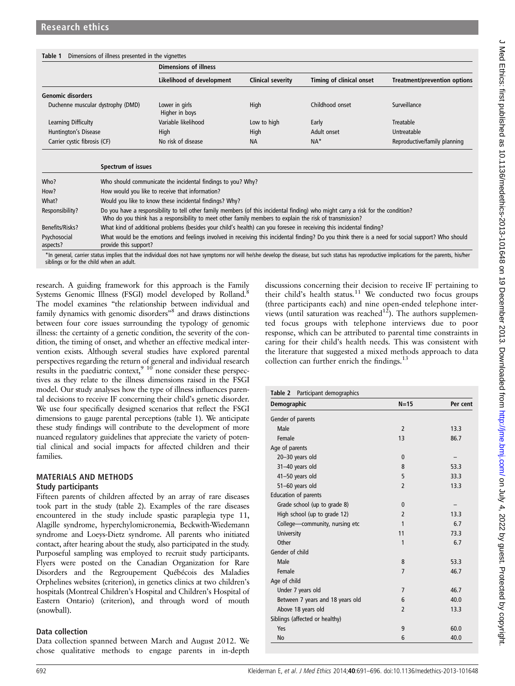#### Table 1 Dimensions of illness presented in the vignettes

|                                   | <b>Dimensions of illness</b>     |                          |                          |                                     |
|-----------------------------------|----------------------------------|--------------------------|--------------------------|-------------------------------------|
|                                   | Likelihood of development        | <b>Clinical severity</b> | Timing of clinical onset | <b>Treatment/prevention options</b> |
| <b>Genomic disorders</b>          |                                  |                          |                          |                                     |
| Duchenne muscular dystrophy (DMD) | Lower in girls<br>Higher in boys | High                     | Childhood onset          | Surveillance                        |
| Learning Difficulty               | Variable likelihood              | Low to high              | Early                    | Treatable                           |
| Huntington's Disease              | High                             | High                     | Adult onset              | Untreatable                         |
| Carrier cystic fibrosis (CF)      | No risk of disease               | <b>NA</b>                | $NA*$                    | Reproductive/family planning        |

| Spectrum of issues                                                                                                                                                                                                                          |
|---------------------------------------------------------------------------------------------------------------------------------------------------------------------------------------------------------------------------------------------|
| Who should communicate the incidental findings to you? Why?                                                                                                                                                                                 |
| How would you like to receive that information?                                                                                                                                                                                             |
| Would you like to know these incidental findings? Why?                                                                                                                                                                                      |
| Do you have a responsibility to tell other family members (of this incidental finding) who might carry a risk for the condition?<br>Who do you think has a responsibility to meet other family members to explain the risk of transmission? |
| What kind of additional problems (besides your child's health) can you foresee in receiving this incidental finding?                                                                                                                        |
| What would be the emotions and feelings involved in receiving this incidental finding? Do you think there is a need for social support? Who should<br>provide this support?                                                                 |
|                                                                                                                                                                                                                                             |

\*In general, carrier status implies that the individual does not have symptoms nor will he/she develop the disease, but such status has reproductive implications for the parents, his/her siblings or for the child when an adult.

research. A guiding framework for this approach is the Family Systems Genomic Illness (FSGI) model developed by Rolland.<sup>8</sup> The model examines "the relationship between individual and family dynamics with genomic disorders<sup>38</sup> and draws distinctions between four core issues surrounding the typology of genomic illness: the certainty of a genetic condition, the severity of the condition, the timing of onset, and whether an effective medical intervention exists. Although several studies have explored parental perspectives regarding the return of general and individual research results in the paediatric context,<sup>9</sup> <sup>10</sup> none consider these perspectives as they relate to the illness dimensions raised in the FSGI model. Our study analyses how the type of illness influences parental decisions to receive IF concerning their child's genetic disorder. We use four specifically designed scenarios that reflect the FSGI dimensions to gauge parental perceptions (table 1). We anticipate these study findings will contribute to the development of more nuanced regulatory guidelines that appreciate the variety of potential clinical and social impacts for affected children and their families.

#### MATERIALS AND METHODS Study participants

Fifteen parents of children affected by an array of rare diseases took part in the study (table 2). Examples of the rare diseases encountered in the study include spastic paraplegia type 11, Alagille syndrome, hyperchylomicronemia, Beckwith-Wiedemann syndrome and Loeys-Dietz syndrome. All parents who initiated contact, after hearing about the study, also participated in the study. Purposeful sampling was employed to recruit study participants. Flyers were posted on the Canadian Organization for Rare Disorders and the Regroupement Québécois des Maladies Orphelines websites (criterion), in genetics clinics at two children's hospitals (Montreal Children's Hospital and Children's Hospital of Eastern Ontario) (criterion), and through word of mouth (snowball).

# Data collection

Data collection spanned between March and August 2012. We chose qualitative methods to engage parents in in-depth discussions concerning their decision to receive IF pertaining to their child's health status.<sup>11</sup> We conducted two focus groups (three participants each) and nine open-ended telephone interviews (until saturation was reached<sup>12</sup>). The authors supplemented focus groups with telephone interviews due to poor response, which can be attributed to parental time constraints in caring for their child's health needs. This was consistent with the literature that suggested a mixed methods approach to data collection can further enrich the findings.<sup>13</sup>

| Participant demographics<br>Table 2 |                |          |
|-------------------------------------|----------------|----------|
| <b>Demographic</b>                  | $N=15$         | Per cent |
| Gender of parents                   |                |          |
| Male                                | $\overline{2}$ | 13.3     |
| Female                              | 13             | 86.7     |
| Age of parents                      |                |          |
| 20-30 years old                     | $\mathbf{0}$   |          |
| 31-40 years old                     | 8              | 53.3     |
| 41-50 years old                     | 5              | 33.3     |
| 51-60 years old                     | $\overline{2}$ | 13.3     |
| Education of parents                |                |          |
| Grade school (up to grade 8)        | $\mathbf{0}$   |          |
| High school (up to grade 12)        | $\overline{2}$ | 13.3     |
| College-community, nursing etc      | 1              | 6.7      |
| University                          | 11             | 73.3     |
| Other                               | 1              | 6.7      |
| Gender of child                     |                |          |
| Male                                | 8              | 53.3     |
| Female                              | $\overline{7}$ | 46.7     |
| Age of child                        |                |          |
| Under 7 years old                   | $\overline{7}$ | 46.7     |
| Between 7 years and 18 years old    | 6              | 40.0     |
| Above 18 years old                  | $\overline{2}$ | 13.3     |
| Siblings (affected or healthy)      |                |          |
| Yes                                 | 9              | 60.0     |
| <b>No</b>                           | 6              | 40.0     |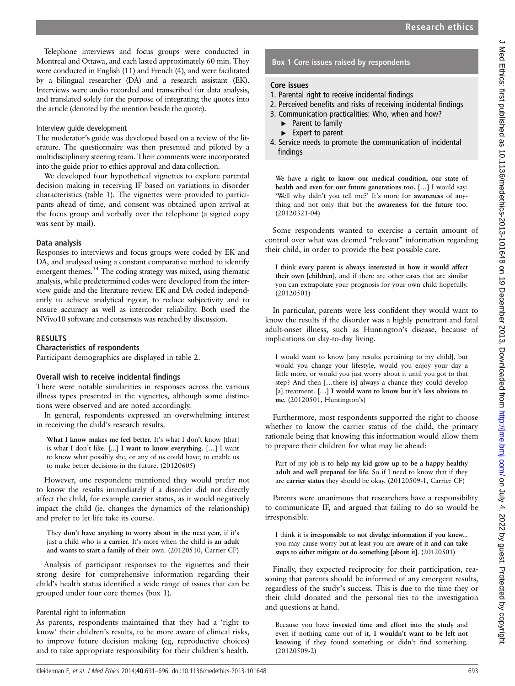Telephone interviews and focus groups were conducted in Montreal and Ottawa, and each lasted approximately 60 min. They were conducted in English (11) and French (4), and were facilitated by a bilingual researcher (DA) and a research assistant (EK). Interviews were audio recorded and transcribed for data analysis, and translated solely for the purpose of integrating the quotes into the article (denoted by the mention beside the quote).

#### Interview guide development

The moderator's guide was developed based on a review of the literature. The questionnaire was then presented and piloted by a multidisciplinary steering team. Their comments were incorporated into the guide prior to ethics approval and data collection.

We developed four hypothetical vignettes to explore parental decision making in receiving IF based on variations in disorder characteristics (table 1). The vignettes were provided to participants ahead of time, and consent was obtained upon arrival at the focus group and verbally over the telephone (a signed copy was sent by mail).

# Data analysis

Responses to interviews and focus groups were coded by EK and DA, and analysed using a constant comparative method to identify emergent themes.<sup>14</sup> The coding strategy was mixed, using thematic analysis, while predetermined codes were developed from the interview guide and the literature review. EK and DA coded independently to achieve analytical rigour, to reduce subjectivity and to ensure accuracy as well as intercoder reliability. Both used the NVivo10 software and consensus was reached by discussion.

# RESULTS

#### Characteristics of respondents

Participant demographics are displayed in table 2.

# Overall wish to receive incidental findings

There were notable similarities in responses across the various illness types presented in the vignettes, although some distinctions were observed and are noted accordingly.

In general, respondents expressed an overwhelming interest in receiving the child's research results.

What I know makes me feel better. It's what I don't know [that] is what I don't like. [...] I want to know everything. […] I want to know what possibly she, or any of us could have; to enable us to make better decisions in the future. (20120605)

However, one respondent mentioned they would prefer not to know the results immediately if a disorder did not directly affect the child, for example carrier status, as it would negatively impact the child (ie, changes the dynamics of the relationship) and prefer to let life take its course.

They don't have anything to worry about in the next year, if it's just a child who is a carrier. It's more when the child is an adult and wants to start a family of their own. (20120510, Carrier CF)

Analysis of participant responses to the vignettes and their strong desire for comprehensive information regarding their child's health status identified a wide range of issues that can be grouped under four core themes (box 1).

# Parental right to information

As parents, respondents maintained that they had a 'right to know' their children's results, to be more aware of clinical risks, to improve future decision making (eg, reproductive choices) and to take appropriate responsibility for their children's health.

# Box 1 Core issues raised by respondents

# Core issues

- 1. Parental right to receive incidental findings
- 2. Perceived benefits and risks of receiving incidental findings
- 3. Communication practicalities: Who, when and how?
	- ▶ Parent to family
	- ► Expert to parent
- 4. Service needs to promote the communication of incidental findings

We have a right to know our medical condition, our state of health and even for our future generations too. […] I would say: 'Well why didn't you tell me?' It's more for awareness of anything and not only that but the awareness for the future too. (20120321-04)

Some respondents wanted to exercise a certain amount of control over what was deemed "relevant" information regarding their child, in order to provide the best possible care.

I think every parent is always interested in how it would affect their own [children], and if there are other cases that are similar you can extrapolate your prognosis for your own child hopefully. (20120501)

In particular, parents were less confident they would want to know the results if the disorder was a highly penetrant and fatal adult-onset illness, such as Huntington's disease, because of implications on day-to-day living.

I would want to know [any results pertaining to my child], but would you change your lifestyle, would you enjoy your day a little more, or would you just worry about it until you got to that step? And then […there is] always a chance they could develop [a] treatment. [...] I would want to know but it's less obvious to me. (20120501, Huntington's)

Furthermore, most respondents supported the right to choose whether to know the carrier status of the child, the primary rationale being that knowing this information would allow them to prepare their children for what may lie ahead:

Part of my job is to help my kid grow up to be a happy healthy adult and well prepared for life. So if I need to know that if they are carrier status they should be okay. (20120509-1, Carrier CF)

Parents were unanimous that researchers have a responsibility to communicate IF, and argued that failing to do so would be irresponsible.

I think it is irresponsible to not divulge information if you knew... you may cause worry but at least you are aware of it and can take steps to either mitigate or do something [about it]. (20120501)

Finally, they expected reciprocity for their participation, reasoning that parents should be informed of any emergent results, regardless of the study's success. This is due to the time they or their child donated and the personal ties to the investigation and questions at hand.

Because you have invested time and effort into the study and even if nothing came out of it, I wouldn't want to be left not knowing if they found something or didn't find something. (20120509-2)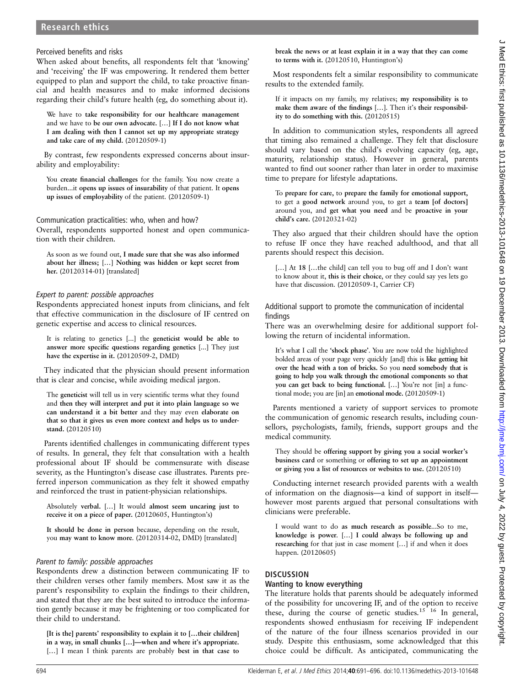# Research ethics

#### Perceived benefits and risks

When asked about benefits, all respondents felt that 'knowing' and 'receiving' the IF was empowering. It rendered them better equipped to plan and support the child, to take proactive financial and health measures and to make informed decisions regarding their child's future health (eg, do something about it).

We have to take responsibility for our healthcare management and we have to be our own advocate. […] If I do not know what I am dealing with then I cannot set up my appropriate strategy and take care of my child. (20120509-1)

By contrast, few respondents expressed concerns about insurability and employability:

You create financial challenges for the family. You now create a burden...it opens up issues of insurability of that patient. It opens up issues of employability of the patient. (20120509-1)

Communication practicalities: who, when and how? Overall, respondents supported honest and open communication with their children.

As soon as we found out, I made sure that she was also informed about her illness; […] Nothing was hidden or kept secret from her. (20120314-01) [translated]

#### Expert to parent: possible approaches

Respondents appreciated honest inputs from clinicians, and felt that effective communication in the disclosure of IF centred on genetic expertise and access to clinical resources.

It is relating to genetics [...] the geneticist would be able to answer more specific questions regarding genetics [...] They just have the expertise in it. (20120509-2, DMD)

They indicated that the physician should present information that is clear and concise, while avoiding medical jargon.

The geneticist will tell us in very scientific terms what they found and then they will interpret and put it into plain language so we can understand it a bit better and they may even elaborate on that so that it gives us even more context and helps us to understand. (20120510)

Parents identified challenges in communicating different types of results. In general, they felt that consultation with a health professional about IF should be commensurate with disease severity, as the Huntington's disease case illustrates. Parents preferred inperson communication as they felt it showed empathy and reinforced the trust in patient-physician relationships.

Absolutely verbal. […] It would almost seem uncaring just to receive it on a piece of paper. (20120605, Huntington's)

It should be done in person because, depending on the result, you may want to know more. (20120314-02, DMD) [translated]

#### Parent to family: possible approaches

Respondents drew a distinction between communicating IF to their children verses other family members. Most saw it as the parent's responsibility to explain the findings to their children, and stated that they are the best suited to introduce the information gently because it may be frightening or too complicated for their child to understand.

[It is the] parents' responsibility to explain it to […their children] in a way, in small chunks […]—when and where it's appropriate. [...] I mean I think parents are probably best in that case to

break the news or at least explain it in a way that they can come to terms with it. (20120510, Huntington's)

Most respondents felt a similar responsibility to communicate results to the extended family.

If it impacts on my family, my relatives; my responsibility is to make them aware of the findings […]. Then it's their responsibility to do something with this. (20120515)

In addition to communication styles, respondents all agreed that timing also remained a challenge. They felt that disclosure should vary based on the child's evolving capacity (eg, age, maturity, relationship status). However in general, parents wanted to find out sooner rather than later in order to maximise time to prepare for lifestyle adaptations.

To prepare for care, to prepare the family for emotional support, to get a good network around you, to get a team [of doctors] around you, and get what you need and be proactive in your child's care. (20120321-02)

They also argued that their children should have the option to refuse IF once they have reached adulthood, and that all parents should respect this decision.

[...] At 18 [...the child] can tell you to bug off and I don't want to know about it, this is their choice, or they could say yes lets go have that discussion. (20120509-1, Carrier CF)

Additional support to promote the communication of incidental findings

There was an overwhelming desire for additional support following the return of incidental information.

It's what I call the 'shock phase'. You are now told the highlighted bolded areas of your page very quickly [and] this is like getting hit over the head with a ton of bricks. So you need somebody that is going to help you walk through the emotional components so that you can get back to being functional. […] You're not [in] a functional mode; you are [in] an emotional mode. (20120509-1)

Parents mentioned a variety of support services to promote the communication of genomic research results, including counsellors, psychologists, family, friends, support groups and the medical community.

They should be offering support by giving you a social worker's business card or something or offering to set up an appointment or giving you a list of resources or websites to use. (20120510)

Conducting internet research provided parents with a wealth of information on the diagnosis—a kind of support in itself however most parents argued that personal consultations with clinicians were preferable.

I would want to do as much research as possible...So to me, knowledge is power. […] I could always be following up and researching for that just in case moment […] if and when it does happen. (20120605)

# DISCUSSION

#### Wanting to know everything

The literature holds that parents should be adequately informed of the possibility for uncovering IF, and of the option to receive these, during the course of genetic studies.<sup>15 16</sup> In general, respondents showed enthusiasm for receiving IF independent of the nature of the four illness scenarios provided in our study. Despite this enthusiasm, some acknowledged that this choice could be difficult. As anticipated, communicating the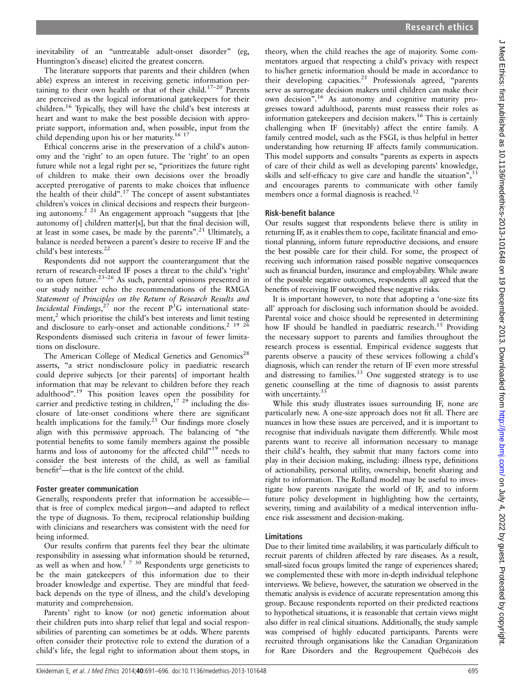inevitability of an "untreatable adult-onset disorder" (eg, Huntington's disease) elicited the greatest concern.

The literature supports that parents and their children (when able) express an interest in receiving genetic information pertaining to their own health or that of their child.17–<sup>20</sup> Parents are perceived as the logical informational gatekeepers for their children.16 Typically, they will have the child's best interests at heart and want to make the best possible decision with appropriate support, information and, when possible, input from the child depending upon his or her maturity.<sup>16 17</sup>

Ethical concerns arise in the preservation of a child's autonomy and the 'right' to an open future. The 'right' to an open future while not a legal right per se, "prioritizes the future right of children to make their own decisions over the broadly accepted prerogative of parents to make choices that influence the health of their child". <sup>17</sup> The concept of assent substantiates children's voices in clinical decisions and respects their burgeoning autonomy.2 21 An engagement approach "suggests that [the autonomy of] children matter[s], but that the final decision will, at least in some cases, be made by the parents".<sup>21</sup> Ultimately, a balance is needed between a parent's desire to receive IF and the child's best interests.<sup>22</sup>

Respondents did not support the counterargument that the return of research-related IF poses a threat to the child's 'right' to an open future.<sup>23-26</sup> As such, parental opinions presented in our study neither echo the recommendations of the RMGA Statement of Principles on the Return of Research Results and Incidental Findings,  $27$  nor the recent  $P^3G$  international statement, $<sup>2</sup>$  which prioritise the child's best interests and limit testing</sup> and disclosure to early-onset and actionable conditions.<sup>2</sup> <sup>19</sup> <sup>26</sup> Respondents dismissed such criteria in favour of fewer limitations on disclosure.

The American College of Medical Genetics and Genomics<sup>28</sup> asserts, "a strict nondisclosure policy in paediatric research could deprive subjects [or their parents] of important health information that may be relevant to children before they reach adulthood". <sup>19</sup> This position leaves open the possibility for carrier and predictive testing in children,  $1729$  including the disclosure of late-onset conditions where there are significant health implications for the family.<sup>25</sup> Our findings more closely align with this permissive approach. The balancing of "the potential benefits to some family members against the possible harms and loss of autonomy for the affected child"<sup>19</sup> needs to consider the best interests of the child, as well as familial benefit 2 —that is the life context of the child.

#### Foster greater communication

Generally, respondents prefer that information be accessible that is free of complex medical jargon—and adapted to reflect the type of diagnosis. To them, reciprocal relationship building with clinicians and researchers was consistent with the need for being informed.

Our results confirm that parents feel they bear the ultimate responsibility in assessing what information should be returned, as well as when and how.<sup>5  $7\frac{30}{9}$ </sup> Respondents urge geneticists to be the main gatekeepers of this information due to their broader knowledge and expertise. They are mindful that feedback depends on the type of illness, and the child's developing maturity and comprehension.

Parents' right to know (or not) genetic information about their children puts into sharp relief that legal and social responsibilities of parenting can sometimes be at odds. Where parents often consider their protective role to extend the duration of a child's life, the legal right to information about them stops, in

theory, when the child reaches the age of majority. Some commentators argued that respecting a child's privacy with respect to his/her genetic information should be made in accordance to their developing capacities.<sup>21</sup> Professionals agreed, "parents serve as surrogate decision makers until children can make their own decision". <sup>16</sup> As autonomy and cognitive maturity progresses toward adulthood, parents must reassess their roles as information gatekeepers and decision makers.<sup>16</sup> This is certainly challenging when IF (inevitably) affect the entire family. A family centred model, such as the FSGI, is thus helpful in better understanding how returning IF affects family communication. This model supports and consults "parents as experts in aspects of care of their child as well as developing parents' knowledge, skills and self-efficacy to give care and handle the situation",<sup>31</sup> and encourages parents to communicate with other family members once a formal diagnosis is reached. $32$ 

# Risk-benefit balance

Our results suggest that respondents believe there is utility in returning IF, as it enables them to cope, facilitate financial and emotional planning, inform future reproductive decisions, and ensure the best possible care for their child. For some, the prospect of receiving such information raised possible negative consequences such as financial burden, insurance and employability. While aware of the possible negative outcomes, respondents all agreed that the benefits of receiving IF outweighed these negative risks.

It is important however, to note that adopting a 'one-size fits all' approach for disclosing such information should be avoided. Parental voice and choice should be represented in determining how IF should be handled in paediatric research.<sup>15</sup> Providing the necessary support to parents and families throughout the research process is essential. Empirical evidence suggests that parents observe a paucity of these services following a child's diagnosis, which can render the return of IF even more stressful and distressing to families.<sup>33</sup> One suggested strategy is to use genetic counselling at the time of diagnosis to assist parents with uncertainty.<sup>3</sup>

While this study illustrates issues surrounding IF, none are particularly new. A one-size approach does not fit all. There are nuances in how these issues are perceived, and it is important to recognise that individuals navigate them differently. While most parents want to receive all information necessary to manage their child's health, they submit that many factors come into play in their decision making, including: illness type, definitions of actionability, personal utility, ownership, benefit sharing and right to information. The Rolland model may be useful to investigate how parents navigate the world of IF, and to inform future policy development in highlighting how the certainty, severity, timing and availability of a medical intervention influence risk assessment and decision-making.

# Limitations

Due to their limited time availability, it was particularly difficult to recruit parents of children affected by rare diseases. As a result, small-sized focus groups limited the range of experiences shared; we complemented these with more in-depth individual telephone interviews. We believe, however, the saturation we observed in the thematic analysis is evidence of accurate representation among this group. Because respondents reported on their predicted reactions to hypothetical situations, it is reasonable that certain views might also differ in real clinical situations. Additionally, the study sample was comprised of highly educated participants. Parents were recruited through organisations like the Canadian Organization for Rare Disorders and the Regroupement Québécois des